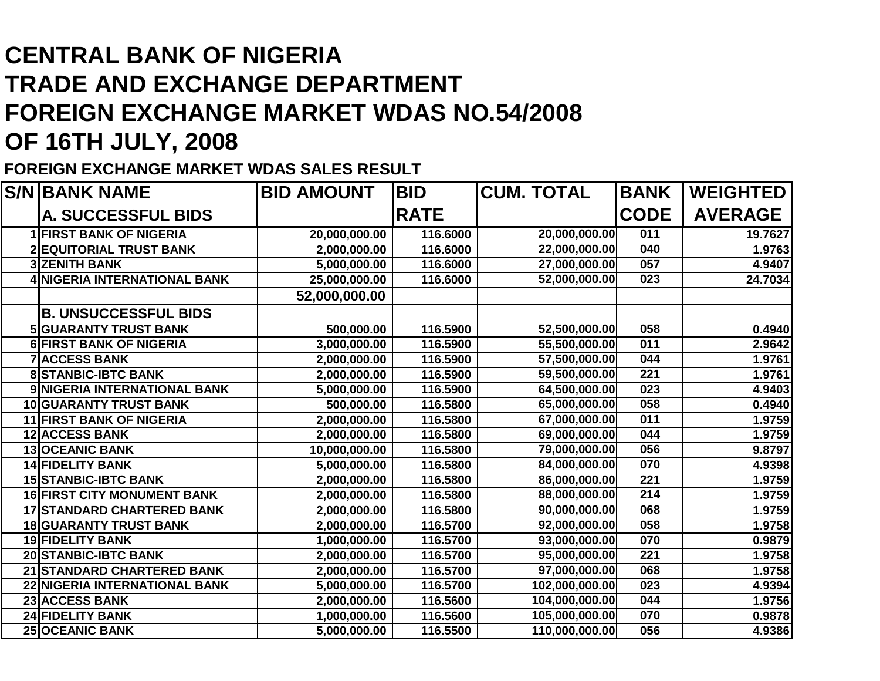## **CENTRAL BANK OF NIGERIA TRADE AND EXCHANGE DEPARTMENT FOREIGN EXCHANGE MARKET WDAS NO.54/2008OF 16TH JULY, 2008**

## **FOREIGN EXCHANGE MARKET WDAS SALES RESULT**

| <b>S/N BANK NAME</b>                | <b>BID AMOUNT</b> | <b>BID</b>  | <b>CUM. TOTAL</b> | <b>BANK</b>      | <b>WEIGHTED</b> |
|-------------------------------------|-------------------|-------------|-------------------|------------------|-----------------|
| <b>A. SUCCESSFUL BIDS</b>           |                   | <b>RATE</b> |                   | <b>CODE</b>      | <b>AVERAGE</b>  |
| <b>1 FIRST BANK OF NIGERIA</b>      | 20,000,000.00     | 116.6000    | 20,000,000.00     | $\overline{011}$ | 19.7627         |
| <b>2 EQUITORIAL TRUST BANK</b>      | 2,000,000.00      | 116.6000    | 22,000,000.00     | 040              | 1.9763          |
| <b>3 ZENITH BANK</b>                | 5,000,000.00      | 116.6000    | 27,000,000.00     | 057              | 4.9407          |
| <b>4 NIGERIA INTERNATIONAL BANK</b> | 25,000,000.00     | 116.6000    | 52,000,000.00     | 023              | 24.7034         |
|                                     | 52,000,000.00     |             |                   |                  |                 |
| <b>B. UNSUCCESSFUL BIDS</b>         |                   |             |                   |                  |                 |
| <b>5 GUARANTY TRUST BANK</b>        | 500,000.00        | 116.5900    | 52,500,000.00     | 058              | 0.4940          |
| <b>6 FIRST BANK OF NIGERIA</b>      | 3,000,000.00      | 116.5900    | 55,500,000.00     | $\overline{011}$ | 2.9642          |
| <b>7 ACCESS BANK</b>                | 2,000,000.00      | 116.5900    | 57,500,000.00     | 044              | 1.9761          |
| <b>8 STANBIC-IBTC BANK</b>          | 2,000,000.00      | 116.5900    | 59,500,000.00     | 221              | 1.9761          |
| 9 NIGERIA INTERNATIONAL BANK        | 5,000,000.00      | 116.5900    | 64,500,000.00     | 023              | 4.9403          |
| 10 GUARANTY TRUST BANK              | 500,000.00        | 116.5800    | 65,000,000.00     | 058              | 0.4940          |
| <b>11 FIRST BANK OF NIGERIA</b>     | 2,000,000.00      | 116.5800    | 67,000,000.00     | 011              | 1.9759          |
| <b>12 ACCESS BANK</b>               | 2,000,000.00      | 116.5800    | 69,000,000.00     | 044              | 1.9759          |
| <b>13 OCEANIC BANK</b>              | 10,000,000.00     | 116.5800    | 79,000,000.00     | 056              | 9.8797          |
| <b>14 FIDELITY BANK</b>             | 5,000,000.00      | 116.5800    | 84,000,000.00     | 070              | 4.9398          |
| <b>15 STANBIC-IBTC BANK</b>         | 2,000,000.00      | 116.5800    | 86,000,000.00     | $\overline{221}$ | 1.9759          |
| <b>16 FIRST CITY MONUMENT BANK</b>  | 2,000,000.00      | 116.5800    | 88,000,000.00     | $\overline{214}$ | 1.9759          |
| <b>17 STANDARD CHARTERED BANK</b>   | 2,000,000.00      | 116.5800    | 90,000,000.00     | 068              | 1.9759          |
| <b>18 GUARANTY TRUST BANK</b>       | 2,000,000.00      | 116.5700    | 92,000,000.00     | 058              | 1.9758          |
| <b>19 FIDELITY BANK</b>             | 1,000,000.00      | 116.5700    | 93,000,000.00     | 070              | 0.9879          |
| 20 STANBIC-IBTC BANK                | 2,000,000.00      | 116.5700    | 95,000,000.00     | $\overline{221}$ | 1.9758          |
| 21 STANDARD CHARTERED BANK          | 2,000,000.00      | 116.5700    | 97,000,000.00     | 068              | 1.9758          |
| 22 NIGERIA INTERNATIONAL BANK       | 5,000,000.00      | 116.5700    | 102,000,000.00    | 023              | 4.9394          |
| 23 ACCESS BANK                      | 2,000,000.00      | 116.5600    | 104,000,000.00    | 044              | 1.9756          |
| <b>24 FIDELITY BANK</b>             | 1,000,000.00      | 116.5600    | 105,000,000.00    | 070              | 0.9878          |
| <b>25 OCEANIC BANK</b>              | 5,000,000.00      | 116.5500    | 110,000,000.00    | 056              | 4.9386          |